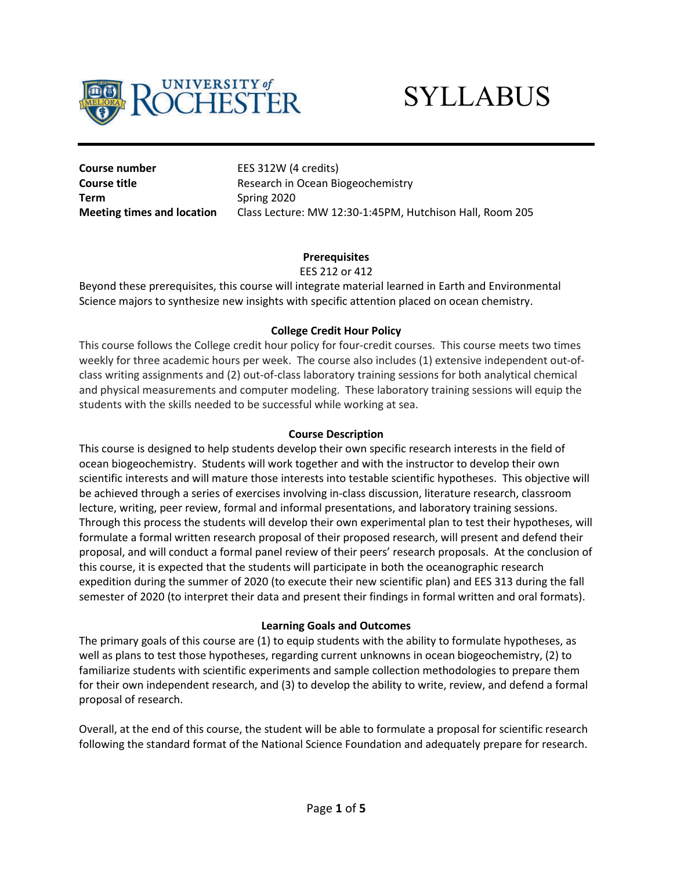

# **SYLLABUS**

**Course number** EES 312W (4 credits) **Term** Spring 2020

**Course title Course title** Research in Ocean Biogeochemistry **Meeting times and location** Class Lecture: MW 12:30-1:45PM, Hutchison Hall, Room 205

# **Prerequisites**

### EES 212 or 412

Beyond these prerequisites, this course will integrate material learned in Earth and Environmental Science majors to synthesize new insights with specific attention placed on ocean chemistry.

# **College Credit Hour Policy**

This course follows the College credit hour policy for four-credit courses. This course meets two times weekly for three academic hours per week. The course also includes (1) extensive independent out-ofclass writing assignments and (2) out-of-class laboratory training sessions for both analytical chemical and physical measurements and computer modeling. These laboratory training sessions will equip the students with the skills needed to be successful while working at sea.

### **Course Description**

This course is designed to help students develop their own specific research interests in the field of ocean biogeochemistry. Students will work together and with the instructor to develop their own scientific interests and will mature those interests into testable scientific hypotheses. This objective will be achieved through a series of exercises involving in-class discussion, literature research, classroom lecture, writing, peer review, formal and informal presentations, and laboratory training sessions. Through this process the students will develop their own experimental plan to test their hypotheses, will formulate a formal written research proposal of their proposed research, will present and defend their proposal, and will conduct a formal panel review of their peers' research proposals. At the conclusion of this course, it is expected that the students will participate in both the oceanographic research expedition during the summer of 2020 (to execute their new scientific plan) and EES 313 during the fall semester of 2020 (to interpret their data and present their findings in formal written and oral formats).

### **Learning Goals and Outcomes**

The primary goals of this course are (1) to equip students with the ability to formulate hypotheses, as well as plans to test those hypotheses, regarding current unknowns in ocean biogeochemistry, (2) to familiarize students with scientific experiments and sample collection methodologies to prepare them for their own independent research, and (3) to develop the ability to write, review, and defend a formal proposal of research.

Overall, at the end of this course, the student will be able to formulate a proposal for scientific research following the standard format of the National Science Foundation and adequately prepare for research.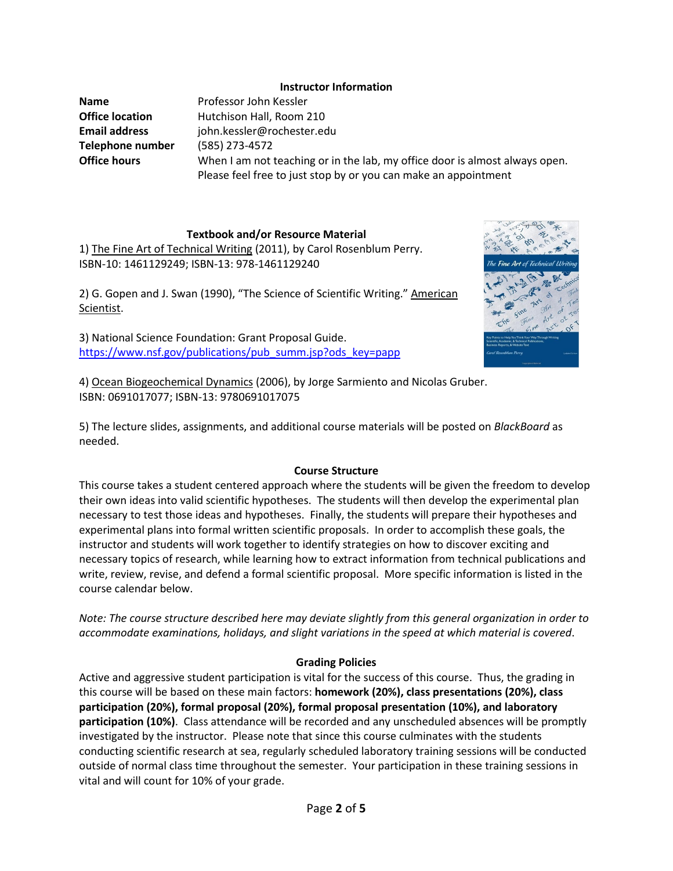### **Instructor Information**

**Name** Professor John Kessler **Telephone number** (585) 273-4572

**Office location** Hutchison Hall, Room 210 **Email address** john.kessler@rochester.edu **Office hours** When I am not teaching or in the lab, my office door is almost always open. Please feel free to just stop by or you can make an appointment

# **Textbook and/or Resource Material**

1) The Fine Art of Technical Writing (2011), by Carol Rosenblum Perry. ISBN-10: 1461129249; ISBN-13: 978-1461129240

2) G. Gopen and J. Swan (1990), "The Science of Scientific Writing." American Scientist.

3) National Science Foundation: Grant Proposal Guide. [https://www.nsf.gov/publications/pub\\_summ.jsp?ods\\_key=papp](https://www.nsf.gov/publications/pub_summ.jsp?ods_key=papp)



4) Ocean Biogeochemical Dynamics (2006), by Jorge Sarmiento and Nicolas Gruber. ISBN: 0691017077; ISBN-13: 9780691017075

5) The lecture slides, assignments, and additional course materials will be posted on *BlackBoard* as needed.

### **Course Structure**

This course takes a student centered approach where the students will be given the freedom to develop their own ideas into valid scientific hypotheses. The students will then develop the experimental plan necessary to test those ideas and hypotheses. Finally, the students will prepare their hypotheses and experimental plans into formal written scientific proposals. In order to accomplish these goals, the instructor and students will work together to identify strategies on how to discover exciting and necessary topics of research, while learning how to extract information from technical publications and write, review, revise, and defend a formal scientific proposal. More specific information is listed in the course calendar below.

*Note: The course structure described here may deviate slightly from this general organization in order to accommodate examinations, holidays, and slight variations in the speed at which material is covered*.

# **Grading Policies**

Active and aggressive student participation is vital for the success of this course. Thus, the grading in this course will be based on these main factors: **homework (20%), class presentations (20%), class participation (20%), formal proposal (20%), formal proposal presentation (10%), and laboratory participation (10%)**. Class attendance will be recorded and any unscheduled absences will be promptly investigated by the instructor. Please note that since this course culminates with the students conducting scientific research at sea, regularly scheduled laboratory training sessions will be conducted outside of normal class time throughout the semester. Your participation in these training sessions in vital and will count for 10% of your grade.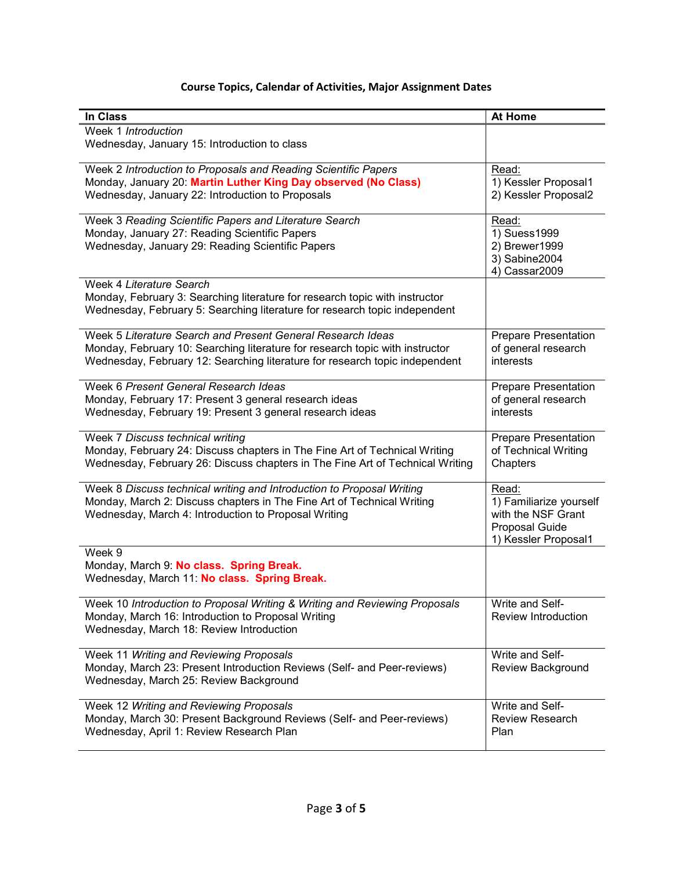| In Class                                                                                 | <b>At Home</b>              |
|------------------------------------------------------------------------------------------|-----------------------------|
| Week 1 Introduction                                                                      |                             |
| Wednesday, January 15: Introduction to class                                             |                             |
| Week 2 Introduction to Proposals and Reading Scientific Papers                           | Read:                       |
| Monday, January 20: Martin Luther King Day observed (No Class)                           | 1) Kessler Proposal1        |
| Wednesday, January 22: Introduction to Proposals                                         | 2) Kessler Proposal2        |
| Week 3 Reading Scientific Papers and Literature Search                                   | Read:                       |
| Monday, January 27: Reading Scientific Papers                                            | 1) Suess1999                |
| Wednesday, January 29: Reading Scientific Papers                                         | 2) Brewer1999               |
|                                                                                          | 3) Sabine2004               |
|                                                                                          | 4) Cassar2009               |
| Week 4 Literature Search                                                                 |                             |
| Monday, February 3: Searching literature for research topic with instructor              |                             |
| Wednesday, February 5: Searching literature for research topic independent               |                             |
| Week 5 Literature Search and Present General Research Ideas                              | <b>Prepare Presentation</b> |
| Monday, February 10: Searching literature for research topic with instructor             | of general research         |
| Wednesday, February 12: Searching literature for research topic independent              | interests                   |
|                                                                                          |                             |
| Week 6 Present General Research Ideas                                                    | <b>Prepare Presentation</b> |
| Monday, February 17: Present 3 general research ideas                                    | of general research         |
| Wednesday, February 19: Present 3 general research ideas                                 | interests                   |
| Week 7 Discuss technical writing                                                         | <b>Prepare Presentation</b> |
| Monday, February 24: Discuss chapters in The Fine Art of Technical Writing               | of Technical Writing        |
| Wednesday, February 26: Discuss chapters in The Fine Art of Technical Writing            | Chapters                    |
|                                                                                          |                             |
| Week 8 Discuss technical writing and Introduction to Proposal Writing                    | Read:                       |
| Monday, March 2: Discuss chapters in The Fine Art of Technical Writing                   | 1) Familiarize yourself     |
| Wednesday, March 4: Introduction to Proposal Writing                                     | with the NSF Grant          |
|                                                                                          | <b>Proposal Guide</b>       |
|                                                                                          | 1) Kessler Proposal1        |
| Week 9                                                                                   |                             |
| Monday, March 9: No class. Spring Break.<br>Wednesday, March 11: No class. Spring Break. |                             |
|                                                                                          |                             |
| Week 10 Introduction to Proposal Writing & Writing and Reviewing Proposals               | Write and Self-             |
| Monday, March 16: Introduction to Proposal Writing                                       | <b>Review Introduction</b>  |
| Wednesday, March 18: Review Introduction                                                 |                             |
|                                                                                          |                             |
| Week 11 Writing and Reviewing Proposals                                                  | Write and Self-             |
| Monday, March 23: Present Introduction Reviews (Self- and Peer-reviews)                  | Review Background           |
| Wednesday, March 25: Review Background                                                   |                             |
| Week 12 Writing and Reviewing Proposals                                                  | Write and Self-             |
| Monday, March 30: Present Background Reviews (Self- and Peer-reviews)                    | <b>Review Research</b>      |
| Wednesday, April 1: Review Research Plan                                                 | Plan                        |

# **Course Topics, Calendar of Activities, Major Assignment Dates**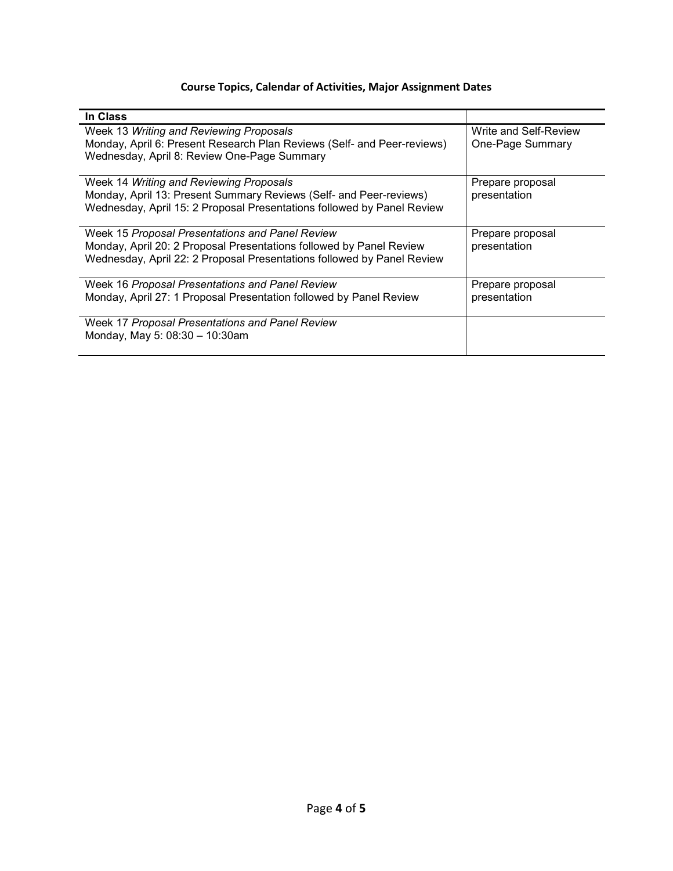# **Course Topics, Calendar of Activities, Major Assignment Dates**

| In Class                                                                                                                                                                                         |                                           |
|--------------------------------------------------------------------------------------------------------------------------------------------------------------------------------------------------|-------------------------------------------|
| Week 13 Writing and Reviewing Proposals<br>Monday, April 6: Present Research Plan Reviews (Self- and Peer-reviews)<br>Wednesday, April 8: Review One-Page Summary                                | Write and Self-Review<br>One-Page Summary |
| Week 14 Writing and Reviewing Proposals<br>Monday, April 13: Present Summary Reviews (Self- and Peer-reviews)<br>Wednesday, April 15: 2 Proposal Presentations followed by Panel Review          | Prepare proposal<br>presentation          |
| Week 15 Proposal Presentations and Panel Review<br>Monday, April 20: 2 Proposal Presentations followed by Panel Review<br>Wednesday, April 22: 2 Proposal Presentations followed by Panel Review | Prepare proposal<br>presentation          |
| Week 16 Proposal Presentations and Panel Review<br>Monday, April 27: 1 Proposal Presentation followed by Panel Review                                                                            | Prepare proposal<br>presentation          |
| Week 17 Proposal Presentations and Panel Review<br>Monday, May 5: 08:30 - 10:30am                                                                                                                |                                           |